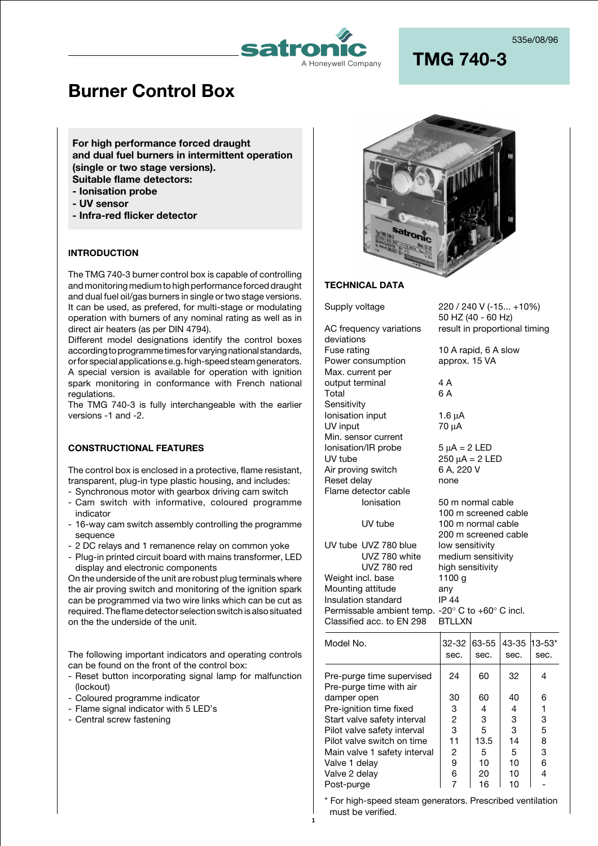

# **Burner Control Box**

**For high performance forced draught and dual fuel burners in intermittent operation (single or two stage versions). Suitable flame detectors: - Ionisation probe**

- **UV sensor**
- **Infra-red flicker detector**

### **INTRODUCTION**

The TMG 740-3 burner control box is capable of controlling and monitoring medium to high performance forced draught and dual fuel oil/gas burners in single or two stage versions. It can be used, as prefered, for multi-stage or modulating operation with burners of any nominal rating as well as in direct air heaters (as per DIN 4794).

Different model designations identify the control boxes according to programme times for varying national standards, or for special applications e.g. high-speed steam generators. A special version is available for operation with ignition spark monitoring in conformance with French national regulations.

The TMG 740-3 is fully interchangeable with the earlier versions -1 and -2.

### **CONSTRUCTIONAL FEATURES**

The control box is enclosed in a protective, flame resistant, transparent, plug-in type plastic housing, and includes:

- Synchronous motor with gearbox driving cam switch
- Cam switch with informative, coloured programme indicator
- 16-way cam switch assembly controlling the programme sequence
- 2 DC relays and 1 remanence relay on common yoke
- Plug-in printed circuit board with mains transformer, LED display and electronic components

On the underside of the unit are robust plug terminals where the air proving switch and monitoring of the ignition spark can be programmed via two wire links which can be cut as required. The flame detector selection switch is also situated on the the underside of the unit.

The following important indicators and operating controls can be found on the front of the control box:

- Reset button incorporating signal lamp for malfunction (lockout)
- Coloured programme indicator
- Flame signal indicator with 5 LED's
- Central screw fastening



### **TECHNICAL DATA**

deviations<br>Fuse rating Power consumption approx. 15 VA Max. current per output terminal 4 A Total 6 A **Sensitivity** Ionisation input 1.6 µA UV input 70 µA Min. sensor current  $Ionisation/IR probe$   $5 \mu A = 2 LED$ UV tube  $250 \mu A = 2 \text{ LED}$ <br>Air proving switch 6 A. 220 V Air proving switch 6 A, 2<br>Reset delay anno none Reset delay Flame detector cable<br>Ionisation

Supply voltage 220 / 240 V (-15... +10%) 50 HZ (40 - 60 Hz) AC frequency variations result in proportional timing

10 A rapid, 6 A slow

50 m normal cable 100 m screened cable

UV tube 100 m normal cable

**1**

|                                                                    | 200 m screened cable |
|--------------------------------------------------------------------|----------------------|
| UV tube UVZ 780 blue                                               | low sensitivity      |
| UVZ 780 white                                                      | medium sensitivity   |
| UVZ 780 red                                                        | high sensitivity     |
| Weight incl. base                                                  | 1100 a               |
| Mounting attitude                                                  | any                  |
| Insulation standard                                                | IP 44                |
| Permissable ambient temp. -20 $\degree$ C to +60 $\degree$ C incl. |                      |
| Classified acc. to EN 298                                          | RTI I XN             |
|                                                                    |                      |

| Model No.                                            | 32-32<br>sec. | 63-55<br>sec. | 43-35<br>sec. | 13-53*<br>sec. |
|------------------------------------------------------|---------------|---------------|---------------|----------------|
| Pre-purge time supervised<br>Pre-purge time with air | 24            | 60            | 32            | 4              |
| damper open                                          | 30            | 60            | 40            | 6              |
| Pre-ignition time fixed                              | 3             | 4             | 4             | 1              |
| Start valve safety interval                          | 2             | 3             | 3             | 3              |
| Pilot valve safety interval                          | 3             | 5             | 3             | 5              |
| Pilot valve switch on time                           | 11            | 13.5          | 14            | 8              |
| Main valve 1 safety interval                         | 2             | 5             | 5             | 3              |
| Valve 1 delay                                        | 9             | 10            | 10            | 6              |
| Valve 2 delay                                        | 6             | 20            | 10            | 4              |
| Post-purge                                           |               | 16            | 10            |                |

For high-speed steam generators. Prescribed ventilation must be verified.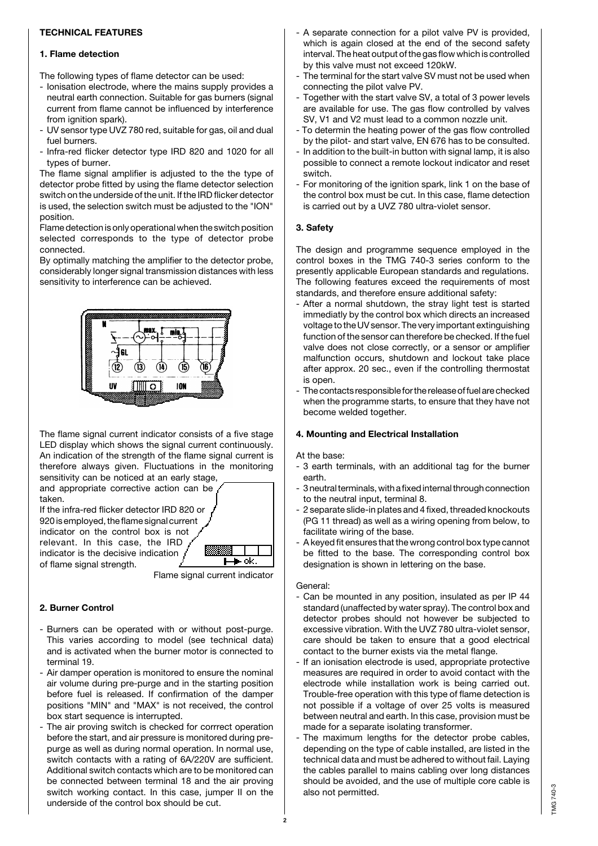### **TECHNICAL FEATURES**

### **1. Flame detection**

The following types of flame detector can be used:

- Ionisation electrode, where the mains supply provides a neutral earth connection. Suitable for gas burners (signal current from flame cannot be influenced by interference from ignition spark).
- UV sensor type UVZ 780 red, suitable for gas, oil and dual fuel burners.
- Infra-red flicker detector type IRD 820 and 1020 for all types of burner.

The flame signal amplifier is adjusted to the the type of detector probe fitted by using the flame detector selection switch on the underside of the unit. If the IRD flicker detector is used, the selection switch must be adjusted to the "ION" position.

Flame detection is only operational when the switch position selected corresponds to the type of detector probe connected.

By optimally matching the amplifier to the detector probe, considerably longer signal transmission distances with less sensitivity to interference can be achieved.



The flame signal current indicator consists of a five stage LED display which shows the signal current continuously. An indication of the strength of the flame signal current is therefore always given. Fluctuations in the monitoring sensitivity can be noticed at an early stage,

and appropriate corrective action can be taken. If the infra-red flicker detector IRD 820 or

920 is employed, the flame signal current indicator on the control box is not relevant. In this case, the IRD indicator is the decisive indication of flame signal strength.



Flame signal current indicator

### **2. Burner Control**

- Burners can be operated with or without post-purge. This varies according to model (see technical data) and is activated when the burner motor is connected to terminal 19.
- Air damper operation is monitored to ensure the nominal air volume during pre-purge and in the starting position before fuel is released. If confirmation of the damper positions "MIN" and "MAX" is not received, the control box start sequence is interrupted.
- The air proving switch is checked for corrrect operation before the start, and air pressure is monitored during prepurge as well as during normal operation. In normal use, switch contacts with a rating of 6A/220V are sufficient. Additional switch contacts which are to be monitored can be connected between terminal 18 and the air proving switch working contact. In this case, jumper II on the underside of the control box should be cut.
- A separate connection for a pilot valve PV is provided, which is again closed at the end of the second safety interval. The heat output of the gas flow which is controlled by this valve must not exceed 120kW.
- The terminal for the start valve SV must not be used when connecting the pilot valve PV.
- Together with the start valve SV, a total of 3 power levels are available for use. The gas flow controlled by valves SV, V1 and V2 must lead to a common nozzle unit.
- To determin the heating power of the gas flow controlled by the pilot- and start valve, EN 676 has to be consulted.
- In addition to the built-in button with signal lamp, it is also possible to connect a remote lockout indicator and reset switch.
- For monitoring of the ignition spark, link 1 on the base of the control box must be cut. In this case, flame detection is carried out by a UVZ 780 ultra-violet sensor.

# **3. Safety**

The design and programme sequence employed in the control boxes in the TMG 740-3 series conform to the presently applicable European standards and regulations. The following features exceed the requirements of most standards, and therefore ensure additional safety:

- After a normal shutdown, the stray light test is started immediatly by the control box which directs an increased voltage to the UV sensor. The very important extinguishing function of the sensor can therefore be checked. If the fuel valve does not close correctly, or a sensor or amplifier malfunction occurs, shutdown and lockout take place after approx. 20 sec., even if the controlling thermostat is open.
- The contacts responsible for the release of fuel are checked when the programme starts, to ensure that they have not become welded together.

# **4. Mounting and Electrical Installation**

At the base:

- 3 earth terminals, with an additional tag for the burner earth.
- 3 neutral terminals, with a fixed internal through connection to the neutral input, terminal 8.
- 2 separate slide-in plates and 4 fixed, threaded knockouts (PG 11 thread) as well as a wiring opening from below, to facilitate wiring of the base.
- A keyed fit ensures that the wrong control box type cannot be fitted to the base. The corresponding control box designation is shown in lettering on the base.

### General:

- Can be mounted in any position, insulated as per IP 44 standard (unaffected by water spray). The control box and detector probes should not however be subjected to excessive vibration. With the UVZ 780 ultra-violet sensor, care should be taken to ensure that a good electrical contact to the burner exists via the metal flange.
- If an ionisation electrode is used, appropriate protective measures are required in order to avoid contact with the electrode while installation work is being carried out. Trouble-free operation with this type of flame detection is not possible if a voltage of over 25 volts is measured between neutral and earth. In this case, provision must be made for a separate isolating transformer.
- The maximum lengths for the detector probe cables, depending on the type of cable installed, are listed in the technical data and must be adhered to without fail. Laying the cables parallel to mains cabling over long distances should be avoided, and the use of multiple core cable is also not permitted.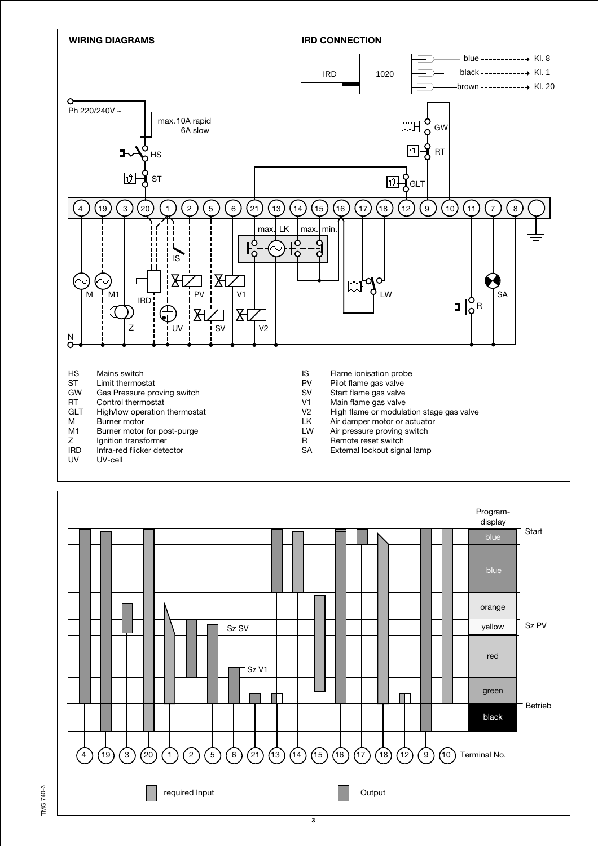

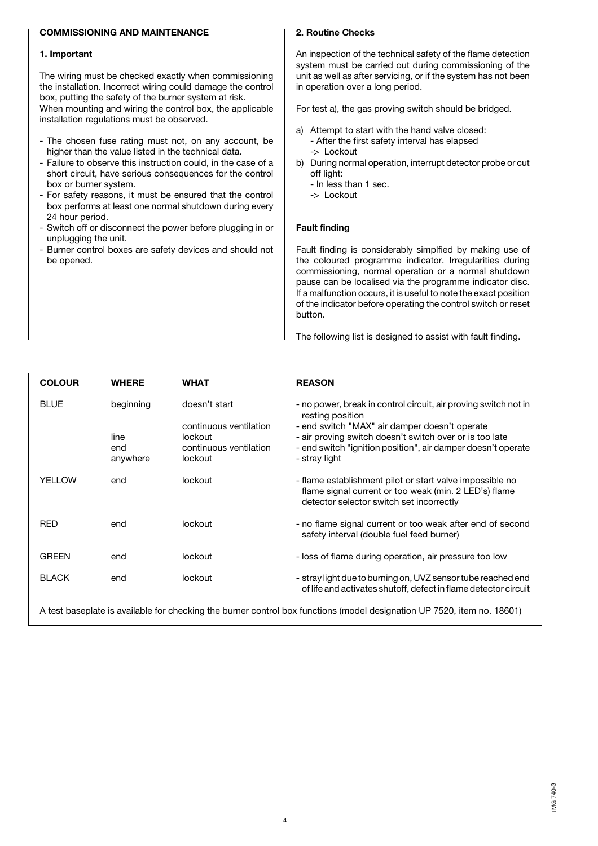### **COMMISSIONING AND MAINTENANCE**

#### **1. Important**

The wiring must be checked exactly when commissioning the installation. Incorrect wiring could damage the control box, putting the safety of the burner system at risk. When mounting and wiring the control box, the applicable installation regulations must be observed.

- The chosen fuse rating must not, on any account, be higher than the value listed in the technical data.
- Failure to observe this instruction could, in the case of a short circuit, have serious consequences for the control box or burner system.
- For safety reasons, it must be ensured that the control box performs at least one normal shutdown during every 24 hour period.
- Switch off or disconnect the power before plugging in or unplugging the unit.
- Burner control boxes are safety devices and should not be opened.

#### **2. Routine Checks**

An inspection of the technical safety of the flame detection system must be carried out during commissioning of the unit as well as after servicing, or if the system has not been in operation over a long period.

For test a), the gas proving switch should be bridged.

- a) Attempt to start with the hand valve closed: - After the first safety interval has elapsed -> Lockout
- b) During normal operation, interrupt detector probe or cut off light:
	- In less than 1 sec.
	- -> Lockout

#### **Fault finding**

Fault finding is considerably simplfied by making use of the coloured programme indicator. Irregularities during commissioning, normal operation or a normal shutdown pause can be localised via the programme indicator disc. If a malfunction occurs, it is useful to note the exact position of the indicator before operating the control switch or reset button.

The following list is designed to assist with fault finding.

| <b>COLOUR</b> | <b>WHERE</b>    | <b>WHAT</b>                       | <b>REASON</b>                                                                                                                                                 |
|---------------|-----------------|-----------------------------------|---------------------------------------------------------------------------------------------------------------------------------------------------------------|
| <b>BLUE</b>   | beginning       | doesn't start                     | - no power, break in control circuit, air proving switch not in<br>resting position                                                                           |
|               |                 | continuous ventilation            | - end switch "MAX" air damper doesn't operate                                                                                                                 |
|               | line            | lockout                           | - air proving switch doesn't switch over or is too late                                                                                                       |
|               | end<br>anywhere | continuous ventilation<br>lockout | - end switch "ignition position", air damper doesn't operate<br>- stray light                                                                                 |
|               |                 |                                   |                                                                                                                                                               |
| <b>YELLOW</b> | end             | lockout                           | - flame establishment pilot or start valve impossible no<br>flame signal current or too weak (min. 2 LED's) flame<br>detector selector switch set incorrectly |
| <b>RED</b>    | end             | lockout                           | - no flame signal current or too weak after end of second<br>safety interval (double fuel feed burner)                                                        |
| <b>GREEN</b>  | end             | lockout                           | - loss of flame during operation, air pressure too low                                                                                                        |
| <b>BLACK</b>  | end             | lockout                           | - stray light due to burning on, UVZ sensor tube reached end<br>of life and activates shutoff, defect in flame detector circuit                               |
|               |                 |                                   | A test baseplate is available for checking the burner control box functions (model designation UP 7520, item no. 18601)                                       |

**4**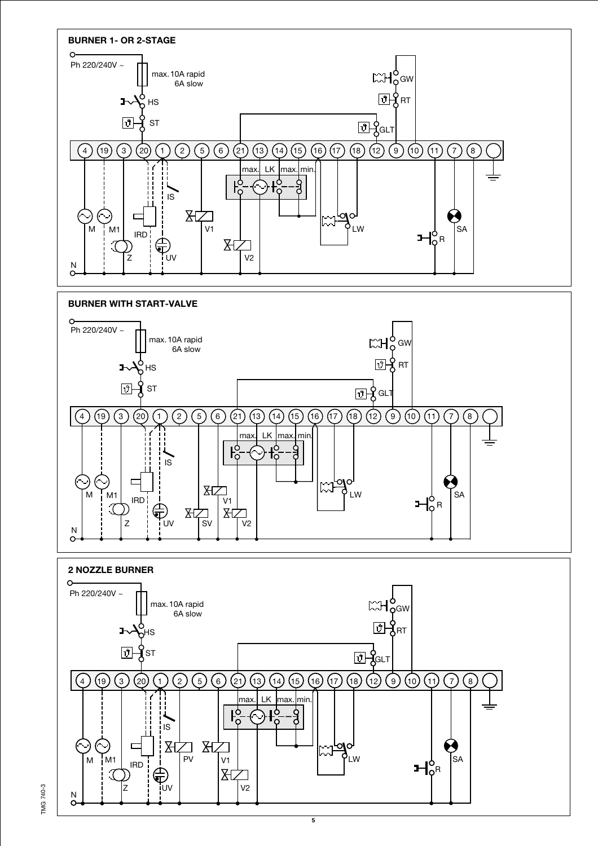

**IMG 740-3** TMG 740-3